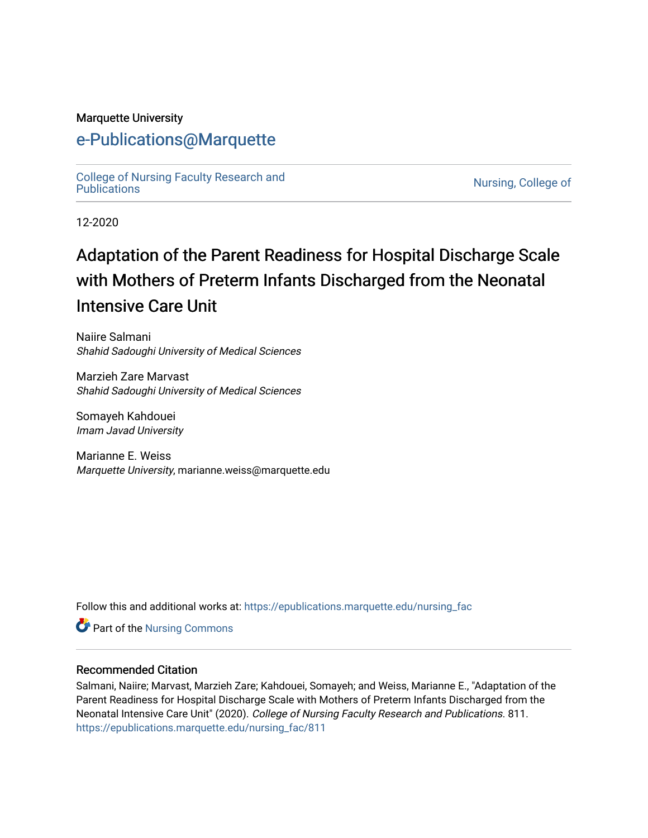#### Marquette University

## [e-Publications@Marquette](https://epublications.marquette.edu/)

[College of Nursing Faculty Research and](https://epublications.marquette.edu/nursing_fac)<br>Publications

Nursing, College of

12-2020

# Adaptation of the Parent Readiness for Hospital Discharge Scale with Mothers of Preterm Infants Discharged from the Neonatal Intensive Care Unit

Naiire Salmani Shahid Sadoughi University of Medical Sciences

Marzieh Zare Marvast Shahid Sadoughi University of Medical Sciences

Somayeh Kahdouei Imam Javad University

Marianne E. Weiss Marquette University, marianne.weiss@marquette.edu

Follow this and additional works at: [https://epublications.marquette.edu/nursing\\_fac](https://epublications.marquette.edu/nursing_fac?utm_source=epublications.marquette.edu%2Fnursing_fac%2F811&utm_medium=PDF&utm_campaign=PDFCoverPages)

Part of the [Nursing Commons](http://network.bepress.com/hgg/discipline/718?utm_source=epublications.marquette.edu%2Fnursing_fac%2F811&utm_medium=PDF&utm_campaign=PDFCoverPages) 

#### Recommended Citation

Salmani, Naiire; Marvast, Marzieh Zare; Kahdouei, Somayeh; and Weiss, Marianne E., "Adaptation of the Parent Readiness for Hospital Discharge Scale with Mothers of Preterm Infants Discharged from the Neonatal Intensive Care Unit" (2020). College of Nursing Faculty Research and Publications. 811. [https://epublications.marquette.edu/nursing\\_fac/811](https://epublications.marquette.edu/nursing_fac/811?utm_source=epublications.marquette.edu%2Fnursing_fac%2F811&utm_medium=PDF&utm_campaign=PDFCoverPages)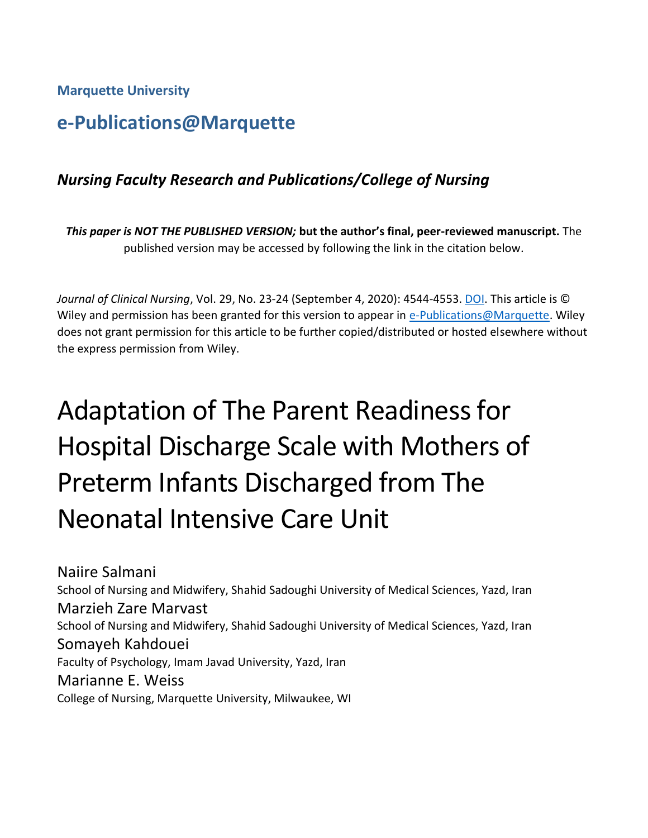**Marquette University**

## **e-Publications@Marquette**

## *Nursing Faculty Research and Publications/College of Nursing*

*This paper is NOT THE PUBLISHED VERSION;* **but the author's final, peer-reviewed manuscript.** The published version may be accessed by following the link in the citation below.

*Journal of Clinical Nursing*, Vol. 29, No. 23-24 (September 4, 2020): 4544-4553. [DOI.](https://doi.org/10.1111/jocn.15479) This article is © Wiley and permission has been granted for this version to appear in [e-Publications@Marquette.](http://epublications.marquette.edu/) Wiley does not grant permission for this article to be further copied/distributed or hosted elsewhere without the express permission from Wiley.

# Adaptation of The Parent Readiness for Hospital Discharge Scale with Mothers of Preterm Infants Discharged from The Neonatal Intensive Care Unit

Naiire Salmani School of Nursing and Midwifery, Shahid Sadoughi University of Medical Sciences, Yazd, Iran Marzieh Zare Marvast School of Nursing and Midwifery, Shahid Sadoughi University of Medical Sciences, Yazd, Iran Somayeh Kahdouei Faculty of Psychology, Imam Javad University, Yazd, Iran Marianne E. Weiss College of Nursing, Marquette University, Milwaukee, WI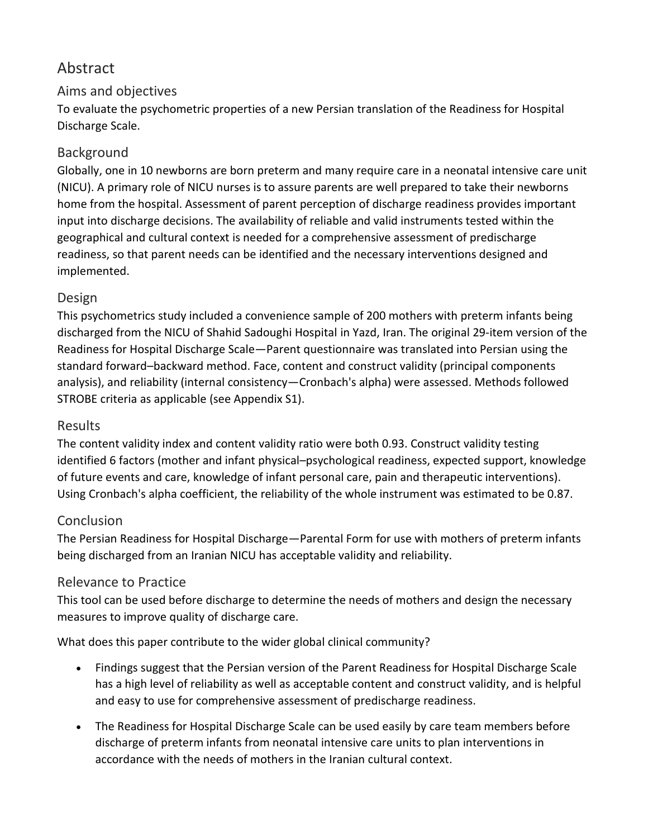## Abstract

#### Aims and objectives

To evaluate the psychometric properties of a new Persian translation of the Readiness for Hospital Discharge Scale.

#### Background

Globally, one in 10 newborns are born preterm and many require care in a neonatal intensive care unit (NICU). A primary role of NICU nurses is to assure parents are well prepared to take their newborns home from the hospital. Assessment of parent perception of discharge readiness provides important input into discharge decisions. The availability of reliable and valid instruments tested within the geographical and cultural context is needed for a comprehensive assessment of predischarge readiness, so that parent needs can be identified and the necessary interventions designed and implemented.

#### Design

This psychometrics study included a convenience sample of 200 mothers with preterm infants being discharged from the NICU of Shahid Sadoughi Hospital in Yazd, Iran. The original 29‐item version of the Readiness for Hospital Discharge Scale—Parent questionnaire was translated into Persian using the standard forward–backward method. Face, content and construct validity (principal components analysis), and reliability (internal consistency—Cronbach's alpha) were assessed. Methods followed STROBE criteria as applicable (see Appendix S1).

#### Results

The content validity index and content validity ratio were both 0.93. Construct validity testing identified 6 factors (mother and infant physical–psychological readiness, expected support, knowledge of future events and care, knowledge of infant personal care, pain and therapeutic interventions). Using Cronbach's alpha coefficient, the reliability of the whole instrument was estimated to be 0.87.

#### Conclusion

The Persian Readiness for Hospital Discharge—Parental Form for use with mothers of preterm infants being discharged from an Iranian NICU has acceptable validity and reliability.

#### Relevance to Practice

This tool can be used before discharge to determine the needs of mothers and design the necessary measures to improve quality of discharge care.

What does this paper contribute to the wider global clinical community?

- Findings suggest that the Persian version of the Parent Readiness for Hospital Discharge Scale has a high level of reliability as well as acceptable content and construct validity, and is helpful and easy to use for comprehensive assessment of predischarge readiness.
- The Readiness for Hospital Discharge Scale can be used easily by care team members before discharge of preterm infants from neonatal intensive care units to plan interventions in accordance with the needs of mothers in the Iranian cultural context.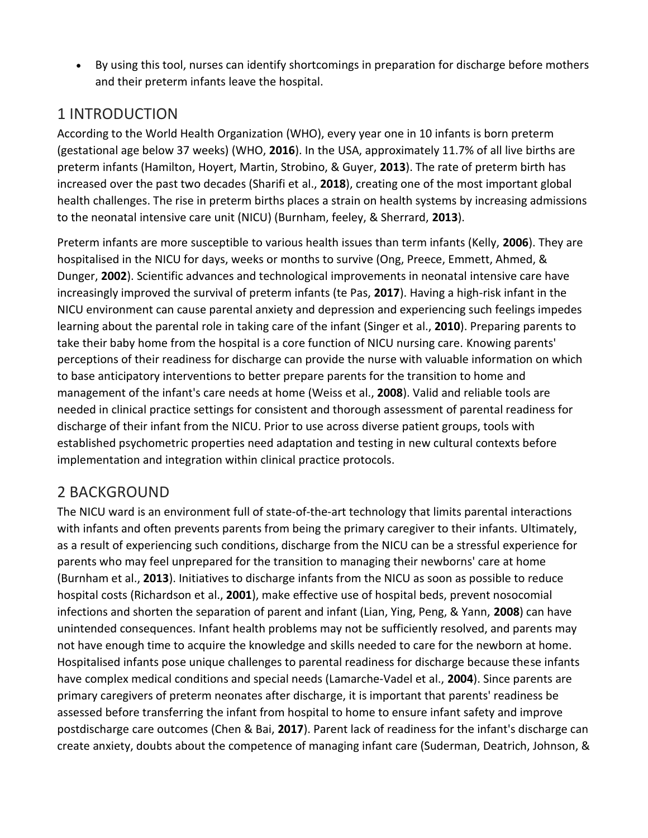• By using this tool, nurses can identify shortcomings in preparation for discharge before mothers and their preterm infants leave the hospital.

## 1 INTRODUCTION

According to the World Health Organization (WHO), every year one in 10 infants is born preterm (gestational age below 37 weeks) (WHO, **2016**). In the USA, approximately 11.7% of all live births are preterm infants (Hamilton, Hoyert, Martin, Strobino, & Guyer, **2013**). The rate of preterm birth has increased over the past two decades (Sharifi et al., **2018**), creating one of the most important global health challenges. The rise in preterm births places a strain on health systems by increasing admissions to the neonatal intensive care unit (NICU) (Burnham, feeley, & Sherrard, **2013**).

Preterm infants are more susceptible to various health issues than term infants (Kelly, **2006**). They are hospitalised in the NICU for days, weeks or months to survive (Ong, Preece, Emmett, Ahmed, & Dunger, **2002**). Scientific advances and technological improvements in neonatal intensive care have increasingly improved the survival of preterm infants (te Pas, **2017**). Having a high‐risk infant in the NICU environment can cause parental anxiety and depression and experiencing such feelings impedes learning about the parental role in taking care of the infant (Singer et al., **2010**). Preparing parents to take their baby home from the hospital is a core function of NICU nursing care. Knowing parents' perceptions of their readiness for discharge can provide the nurse with valuable information on which to base anticipatory interventions to better prepare parents for the transition to home and management of the infant's care needs at home (Weiss et al., **2008**). Valid and reliable tools are needed in clinical practice settings for consistent and thorough assessment of parental readiness for discharge of their infant from the NICU. Prior to use across diverse patient groups, tools with established psychometric properties need adaptation and testing in new cultural contexts before implementation and integration within clinical practice protocols.

#### 2 BACKGROUND

The NICU ward is an environment full of state-of-the-art technology that limits parental interactions with infants and often prevents parents from being the primary caregiver to their infants. Ultimately, as a result of experiencing such conditions, discharge from the NICU can be a stressful experience for parents who may feel unprepared for the transition to managing their newborns' care at home (Burnham et al., **2013**). Initiatives to discharge infants from the NICU as soon as possible to reduce hospital costs (Richardson et al., **2001**), make effective use of hospital beds, prevent nosocomial infections and shorten the separation of parent and infant (Lian, Ying, Peng, & Yann, **2008**) can have unintended consequences. Infant health problems may not be sufficiently resolved, and parents may not have enough time to acquire the knowledge and skills needed to care for the newborn at home. Hospitalised infants pose unique challenges to parental readiness for discharge because these infants have complex medical conditions and special needs (Lamarche‐Vadel et al., **2004**). Since parents are primary caregivers of preterm neonates after discharge, it is important that parents' readiness be assessed before transferring the infant from hospital to home to ensure infant safety and improve postdischarge care outcomes (Chen & Bai, **2017**). Parent lack of readiness for the infant's discharge can create anxiety, doubts about the competence of managing infant care (Suderman, Deatrich, Johnson, &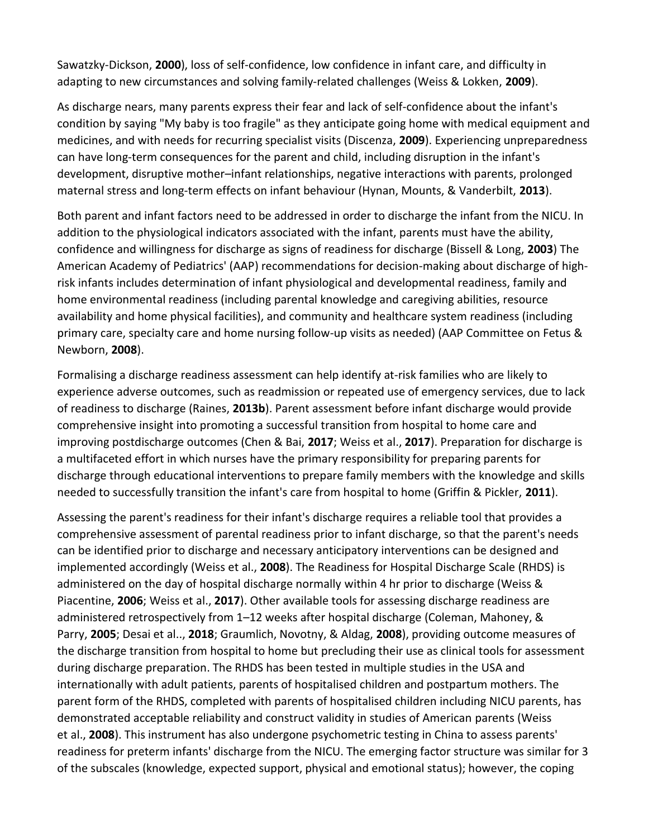Sawatzky‐Dickson, **2000**), loss of self‐confidence, low confidence in infant care, and difficulty in adapting to new circumstances and solving family‐related challenges (Weiss & Lokken, **2009**).

As discharge nears, many parents express their fear and lack of self‐confidence about the infant's condition by saying "My baby is too fragile" as they anticipate going home with medical equipment and medicines, and with needs for recurring specialist visits (Discenza, **2009**). Experiencing unpreparedness can have long-term consequences for the parent and child, including disruption in the infant's development, disruptive mother–infant relationships, negative interactions with parents, prolonged maternal stress and long‐term effects on infant behaviour (Hynan, Mounts, & Vanderbilt, **2013**).

Both parent and infant factors need to be addressed in order to discharge the infant from the NICU. In addition to the physiological indicators associated with the infant, parents must have the ability, confidence and willingness for discharge as signs of readiness for discharge (Bissell & Long, **2003**) The American Academy of Pediatrics' (AAP) recommendations for decision‐making about discharge of high‐ risk infants includes determination of infant physiological and developmental readiness, family and home environmental readiness (including parental knowledge and caregiving abilities, resource availability and home physical facilities), and community and healthcare system readiness (including primary care, specialty care and home nursing follow-up visits as needed) (AAP Committee on Fetus & Newborn, **2008**).

Formalising a discharge readiness assessment can help identify at‐risk families who are likely to experience adverse outcomes, such as readmission or repeated use of emergency services, due to lack of readiness to discharge (Raines, **2013b**). Parent assessment before infant discharge would provide comprehensive insight into promoting a successful transition from hospital to home care and improving postdischarge outcomes (Chen & Bai, **2017**; Weiss et al., **2017**). Preparation for discharge is a multifaceted effort in which nurses have the primary responsibility for preparing parents for discharge through educational interventions to prepare family members with the knowledge and skills needed to successfully transition the infant's care from hospital to home (Griffin & Pickler, **2011**).

Assessing the parent's readiness for their infant's discharge requires a reliable tool that provides a comprehensive assessment of parental readiness prior to infant discharge, so that the parent's needs can be identified prior to discharge and necessary anticipatory interventions can be designed and implemented accordingly (Weiss et al., **2008**). The Readiness for Hospital Discharge Scale (RHDS) is administered on the day of hospital discharge normally within 4 hr prior to discharge (Weiss & Piacentine, **2006**; Weiss et al., **2017**). Other available tools for assessing discharge readiness are administered retrospectively from 1–12 weeks after hospital discharge (Coleman, Mahoney, & Parry, **2005**; Desai et al.., **2018**; Graumlich, Novotny, & Aldag, **2008**), providing outcome measures of the discharge transition from hospital to home but precluding their use as clinical tools for assessment during discharge preparation. The RHDS has been tested in multiple studies in the USA and internationally with adult patients, parents of hospitalised children and postpartum mothers. The parent form of the RHDS, completed with parents of hospitalised children including NICU parents, has demonstrated acceptable reliability and construct validity in studies of American parents (Weiss et al., **2008**). This instrument has also undergone psychometric testing in China to assess parents' readiness for preterm infants' discharge from the NICU. The emerging factor structure was similar for 3 of the subscales (knowledge, expected support, physical and emotional status); however, the coping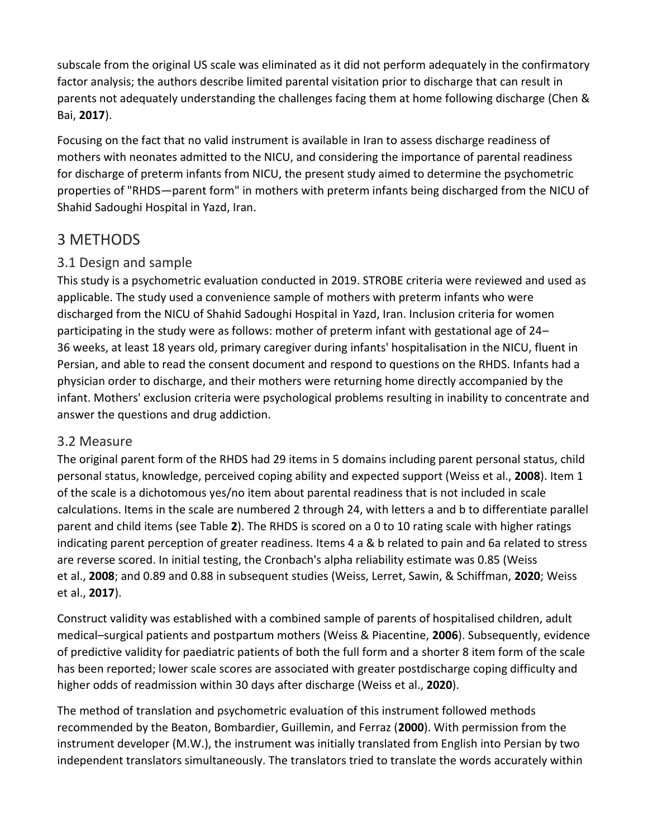subscale from the original US scale was eliminated as it did not perform adequately in the confirmatory factor analysis; the authors describe limited parental visitation prior to discharge that can result in parents not adequately understanding the challenges facing them at home following discharge (Chen & Bai, **2017**).

Focusing on the fact that no valid instrument is available in Iran to assess discharge readiness of mothers with neonates admitted to the NICU, and considering the importance of parental readiness for discharge of preterm infants from NICU, the present study aimed to determine the psychometric properties of "RHDS—parent form" in mothers with preterm infants being discharged from the NICU of Shahid Sadoughi Hospital in Yazd, Iran.

## 3 METHODS

#### 3.1 Design and sample

This study is a psychometric evaluation conducted in 2019. STROBE criteria were reviewed and used as applicable. The study used a convenience sample of mothers with preterm infants who were discharged from the NICU of Shahid Sadoughi Hospital in Yazd, Iran. Inclusion criteria for women participating in the study were as follows: mother of preterm infant with gestational age of 24– 36 weeks, at least 18 years old, primary caregiver during infants' hospitalisation in the NICU, fluent in Persian, and able to read the consent document and respond to questions on the RHDS. Infants had a physician order to discharge, and their mothers were returning home directly accompanied by the infant. Mothers' exclusion criteria were psychological problems resulting in inability to concentrate and answer the questions and drug addiction.

#### 3.2 Measure

The original parent form of the RHDS had 29 items in 5 domains including parent personal status, child personal status, knowledge, perceived coping ability and expected support (Weiss et al., **2008**). Item 1 of the scale is a dichotomous yes/no item about parental readiness that is not included in scale calculations. Items in the scale are numbered 2 through 24, with letters a and b to differentiate parallel parent and child items (see Table **2**). The RHDS is scored on a 0 to 10 rating scale with higher ratings indicating parent perception of greater readiness. Items 4 a & b related to pain and 6a related to stress are reverse scored. In initial testing, the Cronbach's alpha reliability estimate was 0.85 (Weiss et al., **2008**; and 0.89 and 0.88 in subsequent studies (Weiss, Lerret, Sawin, & Schiffman, **2020**; Weiss et al., **2017**).

Construct validity was established with a combined sample of parents of hospitalised children, adult medical–surgical patients and postpartum mothers (Weiss & Piacentine, **2006**). Subsequently, evidence of predictive validity for paediatric patients of both the full form and a shorter 8 item form of the scale has been reported; lower scale scores are associated with greater postdischarge coping difficulty and higher odds of readmission within 30 days after discharge (Weiss et al., **2020**).

The method of translation and psychometric evaluation of this instrument followed methods recommended by the Beaton, Bombardier, Guillemin, and Ferraz (**2000**). With permission from the instrument developer (M.W.), the instrument was initially translated from English into Persian by two independent translators simultaneously. The translators tried to translate the words accurately within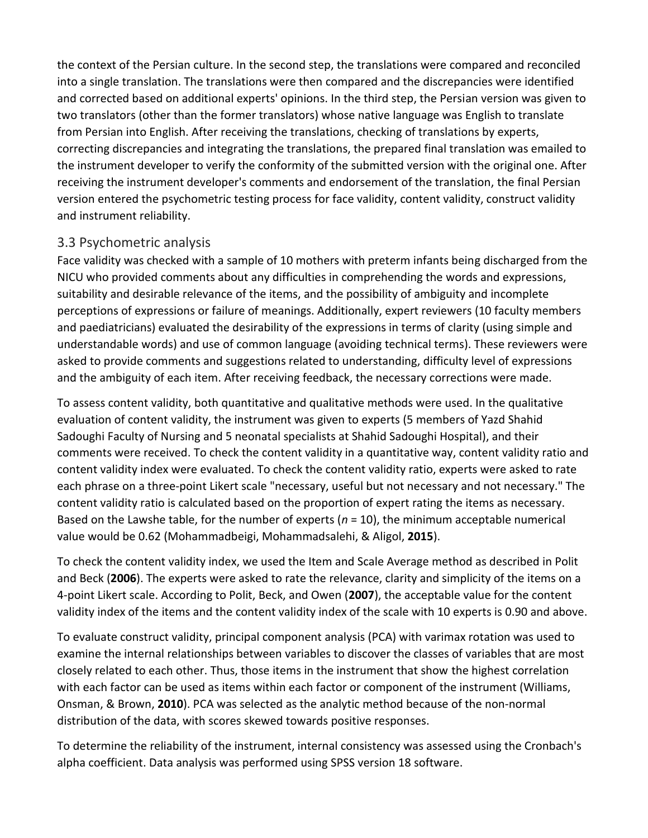the context of the Persian culture. In the second step, the translations were compared and reconciled into a single translation. The translations were then compared and the discrepancies were identified and corrected based on additional experts' opinions. In the third step, the Persian version was given to two translators (other than the former translators) whose native language was English to translate from Persian into English. After receiving the translations, checking of translations by experts, correcting discrepancies and integrating the translations, the prepared final translation was emailed to the instrument developer to verify the conformity of the submitted version with the original one. After receiving the instrument developer's comments and endorsement of the translation, the final Persian version entered the psychometric testing process for face validity, content validity, construct validity and instrument reliability.

#### 3.3 Psychometric analysis

Face validity was checked with a sample of 10 mothers with preterm infants being discharged from the NICU who provided comments about any difficulties in comprehending the words and expressions, suitability and desirable relevance of the items, and the possibility of ambiguity and incomplete perceptions of expressions or failure of meanings. Additionally, expert reviewers (10 faculty members and paediatricians) evaluated the desirability of the expressions in terms of clarity (using simple and understandable words) and use of common language (avoiding technical terms). These reviewers were asked to provide comments and suggestions related to understanding, difficulty level of expressions and the ambiguity of each item. After receiving feedback, the necessary corrections were made.

To assess content validity, both quantitative and qualitative methods were used. In the qualitative evaluation of content validity, the instrument was given to experts (5 members of Yazd Shahid Sadoughi Faculty of Nursing and 5 neonatal specialists at Shahid Sadoughi Hospital), and their comments were received. To check the content validity in a quantitative way, content validity ratio and content validity index were evaluated. To check the content validity ratio, experts were asked to rate each phrase on a three‐point Likert scale "necessary, useful but not necessary and not necessary." The content validity ratio is calculated based on the proportion of expert rating the items as necessary. Based on the Lawshe table, for the number of experts (*n* = 10), the minimum acceptable numerical value would be 0.62 (Mohammadbeigi, Mohammadsalehi, & Aligol, **2015**).

To check the content validity index, we used the Item and Scale Average method as described in Polit and Beck (**2006**). The experts were asked to rate the relevance, clarity and simplicity of the items on a 4‐point Likert scale. According to Polit, Beck, and Owen (**2007**), the acceptable value for the content validity index of the items and the content validity index of the scale with 10 experts is 0.90 and above.

To evaluate construct validity, principal component analysis (PCA) with varimax rotation was used to examine the internal relationships between variables to discover the classes of variables that are most closely related to each other. Thus, those items in the instrument that show the highest correlation with each factor can be used as items within each factor or component of the instrument (Williams, Onsman, & Brown, **2010**). PCA was selected as the analytic method because of the non‐normal distribution of the data, with scores skewed towards positive responses.

To determine the reliability of the instrument, internal consistency was assessed using the Cronbach's alpha coefficient. Data analysis was performed using SPSS version 18 software.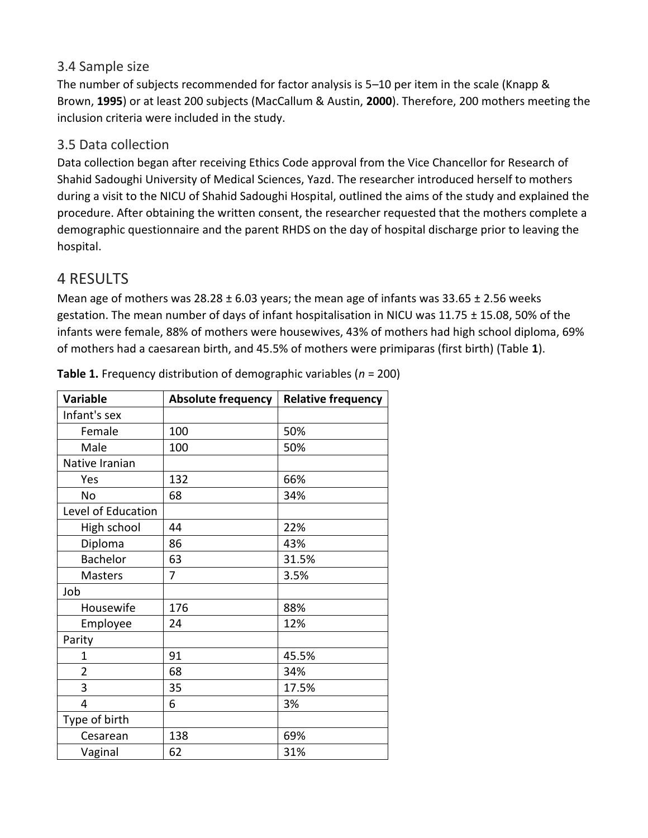#### 3.4 Sample size

The number of subjects recommended for factor analysis is 5–10 per item in the scale (Knapp & Brown, **1995**) or at least 200 subjects (MacCallum & Austin, **2000**). Therefore, 200 mothers meeting the inclusion criteria were included in the study.

#### 3.5 Data collection

Data collection began after receiving Ethics Code approval from the Vice Chancellor for Research of Shahid Sadoughi University of Medical Sciences, Yazd. The researcher introduced herself to mothers during a visit to the NICU of Shahid Sadoughi Hospital, outlined the aims of the study and explained the procedure. After obtaining the written consent, the researcher requested that the mothers complete a demographic questionnaire and the parent RHDS on the day of hospital discharge prior to leaving the hospital.

## 4 RESULTS

Mean age of mothers was  $28.28 \pm 6.03$  years; the mean age of infants was 33.65  $\pm$  2.56 weeks gestation. The mean number of days of infant hospitalisation in NICU was 11.75 ± 15.08, 50% of the infants were female, 88% of mothers were housewives, 43% of mothers had high school diploma, 69% of mothers had a caesarean birth, and 45.5% of mothers were primiparas (first birth) (Table **1**).

| <b>Variable</b>    | <b>Absolute frequency</b> | <b>Relative frequency</b> |
|--------------------|---------------------------|---------------------------|
| Infant's sex       |                           |                           |
| Female             | 100                       | 50%                       |
| Male               | 100                       | 50%                       |
| Native Iranian     |                           |                           |
| Yes                | 132                       | 66%                       |
| No                 | 68                        | 34%                       |
| Level of Education |                           |                           |
| High school        | 44                        | 22%                       |
| Diploma            | 86                        | 43%                       |
| Bachelor           | 63                        | 31.5%                     |
| <b>Masters</b>     | 7                         | 3.5%                      |
| Job                |                           |                           |
| Housewife          | 176                       | 88%                       |
| Employee           | 24                        | 12%                       |
| Parity             |                           |                           |
| 1                  | 91                        | 45.5%                     |
| $\overline{2}$     | 68                        | 34%                       |
| 3                  | 35                        | 17.5%                     |
| 4                  | 6                         | 3%                        |
| Type of birth      |                           |                           |
| Cesarean           | 138                       | 69%                       |
| Vaginal            | 62                        | 31%                       |

**Table 1.** Frequency distribution of demographic variables (*n* = 200)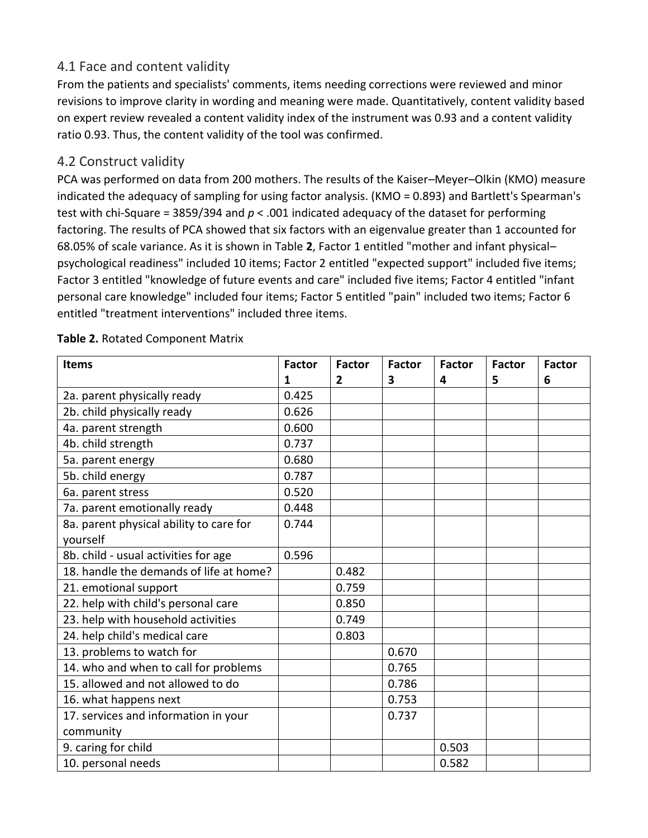#### 4.1 Face and content validity

From the patients and specialists' comments, items needing corrections were reviewed and minor revisions to improve clarity in wording and meaning were made. Quantitatively, content validity based on expert review revealed a content validity index of the instrument was 0.93 and a content validity ratio 0.93. Thus, the content validity of the tool was confirmed.

#### 4.2 Construct validity

PCA was performed on data from 200 mothers. The results of the Kaiser–Meyer–Olkin (KMO) measure indicated the adequacy of sampling for using factor analysis. (KMO = 0.893) and Bartlett's Spearman's test with chi‐Square = 3859/394 and *p* < .001 indicated adequacy of the dataset for performing factoring. The results of PCA showed that six factors with an eigenvalue greater than 1 accounted for 68.05% of scale variance. As it is shown in Table **2**, Factor 1 entitled "mother and infant physical– psychological readiness" included 10 items; Factor 2 entitled "expected support" included five items; Factor 3 entitled "knowledge of future events and care" included five items; Factor 4 entitled "infant personal care knowledge" included four items; Factor 5 entitled "pain" included two items; Factor 6 entitled "treatment interventions" included three items.

| <b>Items</b>                            | <b>Factor</b> | <b>Factor</b> | <b>Factor</b> | <b>Factor</b> | <b>Factor</b> | <b>Factor</b> |
|-----------------------------------------|---------------|---------------|---------------|---------------|---------------|---------------|
|                                         | 1             | 2             | 3             | 4             | 5             | 6             |
| 2a. parent physically ready             | 0.425         |               |               |               |               |               |
| 2b. child physically ready              | 0.626         |               |               |               |               |               |
| 4a. parent strength                     | 0.600         |               |               |               |               |               |
| 4b. child strength                      | 0.737         |               |               |               |               |               |
| 5a. parent energy                       | 0.680         |               |               |               |               |               |
| 5b. child energy                        | 0.787         |               |               |               |               |               |
| 6a. parent stress                       | 0.520         |               |               |               |               |               |
| 7a. parent emotionally ready            | 0.448         |               |               |               |               |               |
| 8a. parent physical ability to care for | 0.744         |               |               |               |               |               |
| yourself                                |               |               |               |               |               |               |
| 8b. child - usual activities for age    | 0.596         |               |               |               |               |               |
| 18. handle the demands of life at home? |               | 0.482         |               |               |               |               |
| 21. emotional support                   |               | 0.759         |               |               |               |               |
| 22. help with child's personal care     |               | 0.850         |               |               |               |               |
| 23. help with household activities      |               | 0.749         |               |               |               |               |
| 24. help child's medical care           |               | 0.803         |               |               |               |               |
| 13. problems to watch for               |               |               | 0.670         |               |               |               |
| 14. who and when to call for problems   |               |               | 0.765         |               |               |               |
| 15. allowed and not allowed to do       |               |               | 0.786         |               |               |               |
| 16. what happens next                   |               |               | 0.753         |               |               |               |
| 17. services and information in your    |               |               | 0.737         |               |               |               |
| community                               |               |               |               |               |               |               |
| 9. caring for child                     |               |               |               | 0.503         |               |               |
| 10. personal needs                      |               |               |               | 0.582         |               |               |

#### **Table 2.** Rotated Component Matrix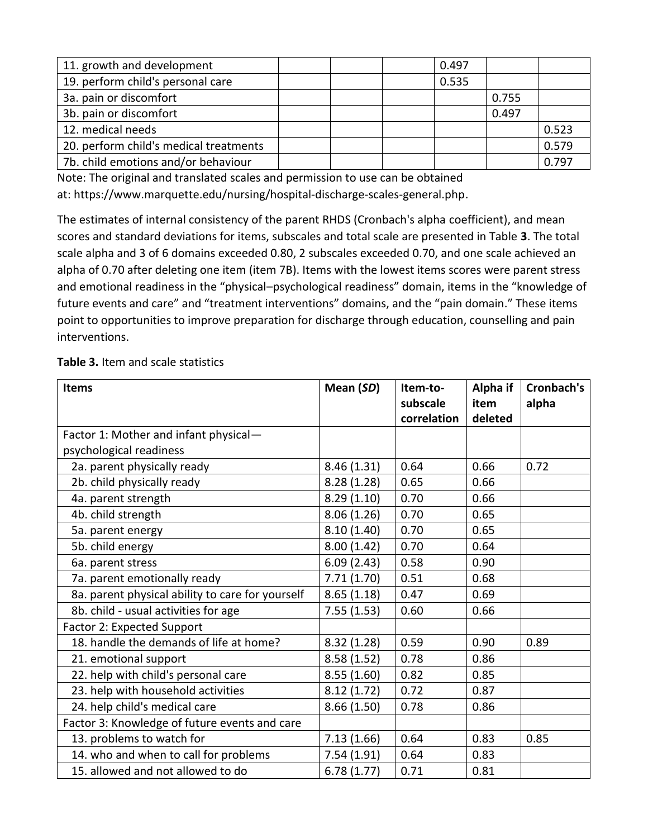| 11. growth and development             |  | 0.497 |       |       |
|----------------------------------------|--|-------|-------|-------|
| 19. perform child's personal care      |  | 0.535 |       |       |
| 3a. pain or discomfort                 |  |       | 0.755 |       |
| 3b. pain or discomfort                 |  |       | 0.497 |       |
| 12. medical needs                      |  |       |       | 0.523 |
| 20. perform child's medical treatments |  |       |       | 0.579 |
| 7b. child emotions and/or behaviour    |  |       |       | 0.797 |

Note: The original and translated scales and permission to use can be obtained at: https://www.marquette.edu/nursing/hospital‐discharge‐scales‐general.php.

The estimates of internal consistency of the parent RHDS (Cronbach's alpha coefficient), and mean scores and standard deviations for items, subscales and total scale are presented in Table **3**. The total scale alpha and 3 of 6 domains exceeded 0.80, 2 subscales exceeded 0.70, and one scale achieved an alpha of 0.70 after deleting one item (item 7B). Items with the lowest items scores were parent stress and emotional readiness in the "physical–psychological readiness" domain, items in the "knowledge of future events and care" and "treatment interventions" domains, and the "pain domain." These items point to opportunities to improve preparation for discharge through education, counselling and pain interventions.

**Table 3.** Item and scale statistics

| <b>Items</b>                                     | Mean (SD)  | Item-to-<br>subscale | Alpha if<br>item | Cronbach's<br>alpha |
|--------------------------------------------------|------------|----------------------|------------------|---------------------|
|                                                  |            | correlation          | deleted          |                     |
| Factor 1: Mother and infant physical-            |            |                      |                  |                     |
| psychological readiness                          |            |                      |                  |                     |
| 2a. parent physically ready                      | 8.46(1.31) | 0.64                 | 0.66             | 0.72                |
| 2b. child physically ready                       | 8.28(1.28) | 0.65                 | 0.66             |                     |
| 4a. parent strength                              | 8.29(1.10) | 0.70                 | 0.66             |                     |
| 4b. child strength                               | 8.06(1.26) | 0.70                 | 0.65             |                     |
| 5a. parent energy                                | 8.10(1.40) | 0.70                 | 0.65             |                     |
| 5b. child energy                                 | 8.00(1.42) | 0.70                 | 0.64             |                     |
| 6a. parent stress                                | 6.09(2.43) | 0.58                 | 0.90             |                     |
| 7a. parent emotionally ready                     | 7.71(1.70) | 0.51                 | 0.68             |                     |
| 8a. parent physical ability to care for yourself | 8.65(1.18) | 0.47                 | 0.69             |                     |
| 8b. child - usual activities for age             | 7.55(1.53) | 0.60                 | 0.66             |                     |
| Factor 2: Expected Support                       |            |                      |                  |                     |
| 18. handle the demands of life at home?          | 8.32(1.28) | 0.59                 | 0.90             | 0.89                |
| 21. emotional support                            | 8.58(1.52) | 0.78                 | 0.86             |                     |
| 22. help with child's personal care              | 8.55(1.60) | 0.82                 | 0.85             |                     |
| 23. help with household activities               | 8.12(1.72) | 0.72                 | 0.87             |                     |
| 24. help child's medical care                    | 8.66(1.50) | 0.78                 | 0.86             |                     |
| Factor 3: Knowledge of future events and care    |            |                      |                  |                     |
| 13. problems to watch for                        | 7.13(1.66) | 0.64                 | 0.83             | 0.85                |
| 14. who and when to call for problems            | 7.54(1.91) | 0.64                 | 0.83             |                     |
| 15. allowed and not allowed to do                | 6.78(1.77) | 0.71                 | 0.81             |                     |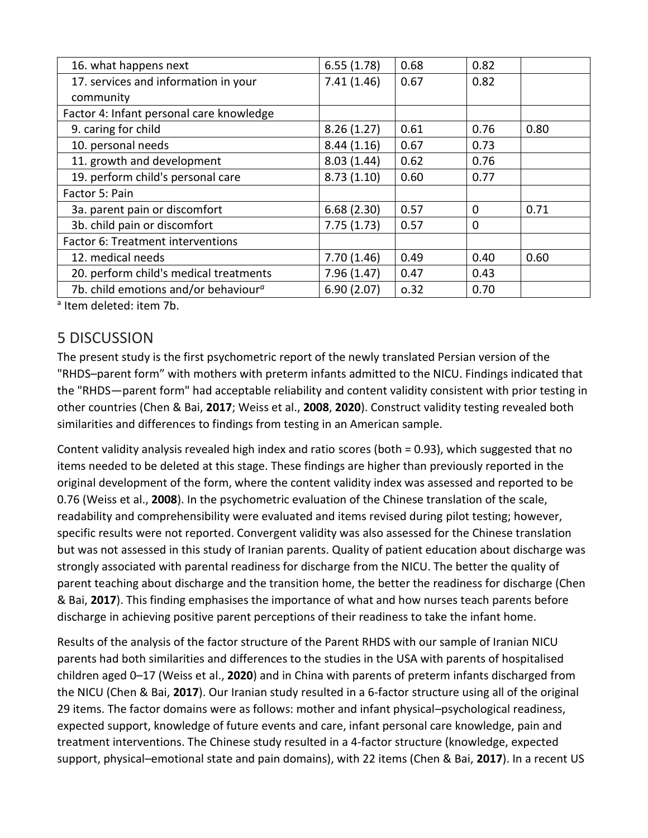| 16. what happens next                            | 6.55(1.78) | 0.68 | 0.82     |      |
|--------------------------------------------------|------------|------|----------|------|
| 17. services and information in your             | 7.41(1.46) | 0.67 | 0.82     |      |
| community                                        |            |      |          |      |
| Factor 4: Infant personal care knowledge         |            |      |          |      |
| 9. caring for child                              | 8.26(1.27) | 0.61 | 0.76     | 0.80 |
| 10. personal needs                               | 8.44(1.16) | 0.67 | 0.73     |      |
| 11. growth and development                       | 8.03(1.44) | 0.62 | 0.76     |      |
| 19. perform child's personal care                | 8.73(1.10) | 0.60 | 0.77     |      |
| Factor 5: Pain                                   |            |      |          |      |
| 3a. parent pain or discomfort                    | 6.68(2.30) | 0.57 | $\Omega$ | 0.71 |
| 3b. child pain or discomfort                     | 7.75(1.73) | 0.57 | $\Omega$ |      |
| Factor 6: Treatment interventions                |            |      |          |      |
| 12. medical needs                                | 7.70(1.46) | 0.49 | 0.40     | 0.60 |
| 20. perform child's medical treatments           | 7.96(1.47) | 0.47 | 0.43     |      |
| 7b. child emotions and/or behaviour <sup>a</sup> | 6.90(2.07) | 0.32 | 0.70     |      |

<sup>a</sup> Item deleted: item 7b.

## 5 DISCUSSION

The present study is the first psychometric report of the newly translated Persian version of the "RHDS–parent form" with mothers with preterm infants admitted to the NICU. Findings indicated that the "RHDS—parent form" had acceptable reliability and content validity consistent with prior testing in other countries (Chen & Bai, **2017**; Weiss et al., **2008**, **2020**). Construct validity testing revealed both similarities and differences to findings from testing in an American sample.

Content validity analysis revealed high index and ratio scores (both = 0.93), which suggested that no items needed to be deleted at this stage. These findings are higher than previously reported in the original development of the form, where the content validity index was assessed and reported to be 0.76 (Weiss et al., **2008**). In the psychometric evaluation of the Chinese translation of the scale, readability and comprehensibility were evaluated and items revised during pilot testing; however, specific results were not reported. Convergent validity was also assessed for the Chinese translation but was not assessed in this study of Iranian parents. Quality of patient education about discharge was strongly associated with parental readiness for discharge from the NICU. The better the quality of parent teaching about discharge and the transition home, the better the readiness for discharge (Chen & Bai, **2017**). This finding emphasises the importance of what and how nurses teach parents before discharge in achieving positive parent perceptions of their readiness to take the infant home.

Results of the analysis of the factor structure of the Parent RHDS with our sample of Iranian NICU parents had both similarities and differences to the studies in the USA with parents of hospitalised children aged 0–17 (Weiss et al., **2020**) and in China with parents of preterm infants discharged from the NICU (Chen & Bai, **2017**). Our Iranian study resulted in a 6‐factor structure using all of the original 29 items. The factor domains were as follows: mother and infant physical–psychological readiness, expected support, knowledge of future events and care, infant personal care knowledge, pain and treatment interventions. The Chinese study resulted in a 4‐factor structure (knowledge, expected support, physical–emotional state and pain domains), with 22 items (Chen & Bai, **2017**). In a recent US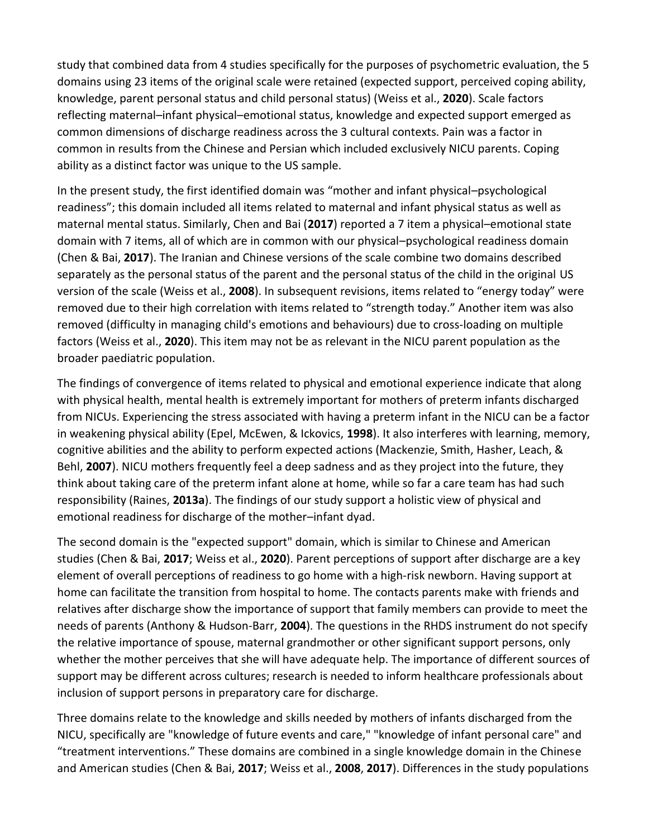study that combined data from 4 studies specifically for the purposes of psychometric evaluation, the 5 domains using 23 items of the original scale were retained (expected support, perceived coping ability, knowledge, parent personal status and child personal status) (Weiss et al., **2020**). Scale factors reflecting maternal–infant physical–emotional status, knowledge and expected support emerged as common dimensions of discharge readiness across the 3 cultural contexts. Pain was a factor in common in results from the Chinese and Persian which included exclusively NICU parents. Coping ability as a distinct factor was unique to the US sample.

In the present study, the first identified domain was "mother and infant physical–psychological readiness"; this domain included all items related to maternal and infant physical status as well as maternal mental status. Similarly, Chen and Bai (**2017**) reported a 7 item a physical–emotional state domain with 7 items, all of which are in common with our physical–psychological readiness domain (Chen & Bai, **2017**). The Iranian and Chinese versions of the scale combine two domains described separately as the personal status of the parent and the personal status of the child in the original US version of the scale (Weiss et al., **2008**). In subsequent revisions, items related to "energy today" were removed due to their high correlation with items related to "strength today." Another item was also removed (difficulty in managing child's emotions and behaviours) due to cross‐loading on multiple factors (Weiss et al., **2020**). This item may not be as relevant in the NICU parent population as the broader paediatric population.

The findings of convergence of items related to physical and emotional experience indicate that along with physical health, mental health is extremely important for mothers of preterm infants discharged from NICUs. Experiencing the stress associated with having a preterm infant in the NICU can be a factor in weakening physical ability (Epel, McEwen, & Ickovics, **1998**). It also interferes with learning, memory, cognitive abilities and the ability to perform expected actions (Mackenzie, Smith, Hasher, Leach, & Behl, **2007**). NICU mothers frequently feel a deep sadness and as they project into the future, they think about taking care of the preterm infant alone at home, while so far a care team has had such responsibility (Raines, **2013a**). The findings of our study support a holistic view of physical and emotional readiness for discharge of the mother–infant dyad.

The second domain is the "expected support" domain, which is similar to Chinese and American studies (Chen & Bai, **2017**; Weiss et al., **2020**). Parent perceptions of support after discharge are a key element of overall perceptions of readiness to go home with a high‐risk newborn. Having support at home can facilitate the transition from hospital to home. The contacts parents make with friends and relatives after discharge show the importance of support that family members can provide to meet the needs of parents (Anthony & Hudson‐Barr, **2004**). The questions in the RHDS instrument do not specify the relative importance of spouse, maternal grandmother or other significant support persons, only whether the mother perceives that she will have adequate help. The importance of different sources of support may be different across cultures; research is needed to inform healthcare professionals about inclusion of support persons in preparatory care for discharge.

Three domains relate to the knowledge and skills needed by mothers of infants discharged from the NICU, specifically are "knowledge of future events and care," "knowledge of infant personal care" and "treatment interventions." These domains are combined in a single knowledge domain in the Chinese and American studies (Chen & Bai, **2017**; Weiss et al., **2008**, **2017**). Differences in the study populations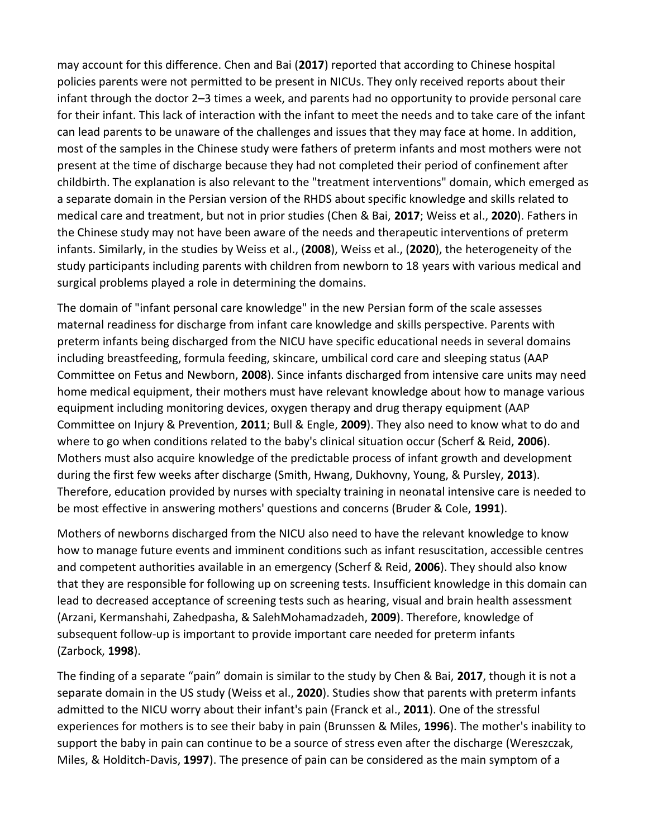may account for this difference. Chen and Bai (**2017**) reported that according to Chinese hospital policies parents were not permitted to be present in NICUs. They only received reports about their infant through the doctor 2–3 times a week, and parents had no opportunity to provide personal care for their infant. This lack of interaction with the infant to meet the needs and to take care of the infant can lead parents to be unaware of the challenges and issues that they may face at home. In addition, most of the samples in the Chinese study were fathers of preterm infants and most mothers were not present at the time of discharge because they had not completed their period of confinement after childbirth. The explanation is also relevant to the "treatment interventions" domain, which emerged as a separate domain in the Persian version of the RHDS about specific knowledge and skills related to medical care and treatment, but not in prior studies (Chen & Bai, **2017**; Weiss et al., **2020**). Fathers in the Chinese study may not have been aware of the needs and therapeutic interventions of preterm infants. Similarly, in the studies by Weiss et al., (**2008**), Weiss et al., (**2020**), the heterogeneity of the study participants including parents with children from newborn to 18 years with various medical and surgical problems played a role in determining the domains.

The domain of "infant personal care knowledge" in the new Persian form of the scale assesses maternal readiness for discharge from infant care knowledge and skills perspective. Parents with preterm infants being discharged from the NICU have specific educational needs in several domains including breastfeeding, formula feeding, skincare, umbilical cord care and sleeping status (AAP Committee on Fetus and Newborn, **2008**). Since infants discharged from intensive care units may need home medical equipment, their mothers must have relevant knowledge about how to manage various equipment including monitoring devices, oxygen therapy and drug therapy equipment (AAP Committee on Injury & Prevention, **2011**; Bull & Engle, **2009**). They also need to know what to do and where to go when conditions related to the baby's clinical situation occur (Scherf & Reid, **2006**). Mothers must also acquire knowledge of the predictable process of infant growth and development during the first few weeks after discharge (Smith, Hwang, Dukhovny, Young, & Pursley, **2013**). Therefore, education provided by nurses with specialty training in neonatal intensive care is needed to be most effective in answering mothers' questions and concerns (Bruder & Cole, **1991**).

Mothers of newborns discharged from the NICU also need to have the relevant knowledge to know how to manage future events and imminent conditions such as infant resuscitation, accessible centres and competent authorities available in an emergency (Scherf & Reid, **2006**). They should also know that they are responsible for following up on screening tests. Insufficient knowledge in this domain can lead to decreased acceptance of screening tests such as hearing, visual and brain health assessment (Arzani, Kermanshahi, Zahedpasha, & SalehMohamadzadeh, **2009**). Therefore, knowledge of subsequent follow-up is important to provide important care needed for preterm infants (Zarbock, **1998**).

The finding of a separate "pain" domain is similar to the study by Chen & Bai, **2017**, though it is not a separate domain in the US study (Weiss et al., **2020**). Studies show that parents with preterm infants admitted to the NICU worry about their infant's pain (Franck et al., **2011**). One of the stressful experiences for mothers is to see their baby in pain (Brunssen & Miles, **1996**). The mother's inability to support the baby in pain can continue to be a source of stress even after the discharge (Wereszczak, Miles, & Holditch‐Davis, **1997**). The presence of pain can be considered as the main symptom of a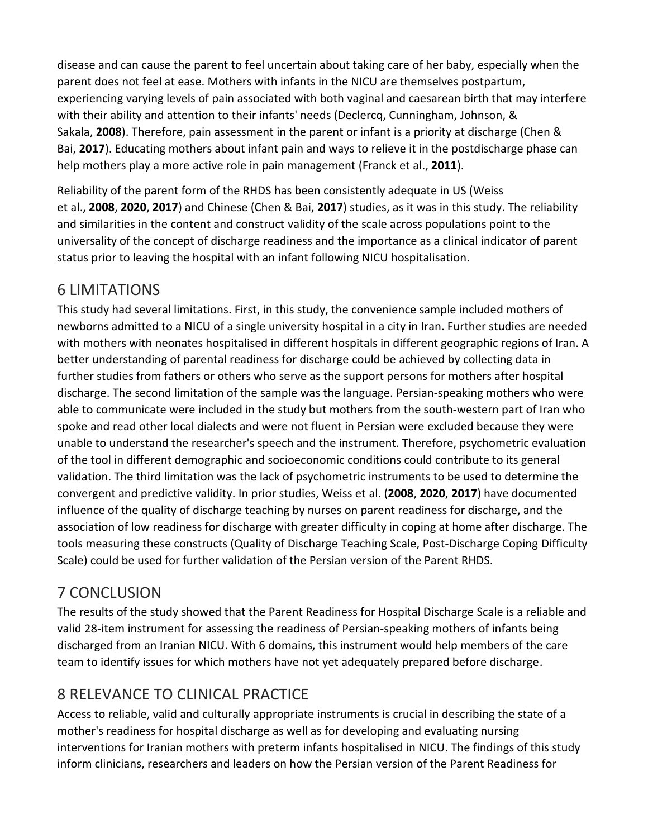disease and can cause the parent to feel uncertain about taking care of her baby, especially when the parent does not feel at ease. Mothers with infants in the NICU are themselves postpartum, experiencing varying levels of pain associated with both vaginal and caesarean birth that may interfere with their ability and attention to their infants' needs (Declercq, Cunningham, Johnson, & Sakala, **2008**). Therefore, pain assessment in the parent or infant is a priority at discharge (Chen & Bai, **2017**). Educating mothers about infant pain and ways to relieve it in the postdischarge phase can help mothers play a more active role in pain management (Franck et al., **2011**).

Reliability of the parent form of the RHDS has been consistently adequate in US (Weiss et al., **2008**, **2020**, **2017**) and Chinese (Chen & Bai, **2017**) studies, as it was in this study. The reliability and similarities in the content and construct validity of the scale across populations point to the universality of the concept of discharge readiness and the importance as a clinical indicator of parent status prior to leaving the hospital with an infant following NICU hospitalisation.

## 6 LIMITATIONS

This study had several limitations. First, in this study, the convenience sample included mothers of newborns admitted to a NICU of a single university hospital in a city in Iran. Further studies are needed with mothers with neonates hospitalised in different hospitals in different geographic regions of Iran. A better understanding of parental readiness for discharge could be achieved by collecting data in further studies from fathers or others who serve as the support persons for mothers after hospital discharge. The second limitation of the sample was the language. Persian‐speaking mothers who were able to communicate were included in the study but mothers from the south-western part of Iran who spoke and read other local dialects and were not fluent in Persian were excluded because they were unable to understand the researcher's speech and the instrument. Therefore, psychometric evaluation of the tool in different demographic and socioeconomic conditions could contribute to its general validation. The third limitation was the lack of psychometric instruments to be used to determine the convergent and predictive validity. In prior studies, Weiss et al. (**2008**, **2020**, **2017**) have documented influence of the quality of discharge teaching by nurses on parent readiness for discharge, and the association of low readiness for discharge with greater difficulty in coping at home after discharge. The tools measuring these constructs (Quality of Discharge Teaching Scale, Post‐Discharge Coping Difficulty Scale) could be used for further validation of the Persian version of the Parent RHDS.

## 7 CONCLUSION

The results of the study showed that the Parent Readiness for Hospital Discharge Scale is a reliable and valid 28‐item instrument for assessing the readiness of Persian‐speaking mothers of infants being discharged from an Iranian NICU. With 6 domains, this instrument would help members of the care team to identify issues for which mothers have not yet adequately prepared before discharge.

## 8 RELEVANCE TO CLINICAL PRACTICE

Access to reliable, valid and culturally appropriate instruments is crucial in describing the state of a mother's readiness for hospital discharge as well as for developing and evaluating nursing interventions for Iranian mothers with preterm infants hospitalised in NICU. The findings of this study inform clinicians, researchers and leaders on how the Persian version of the Parent Readiness for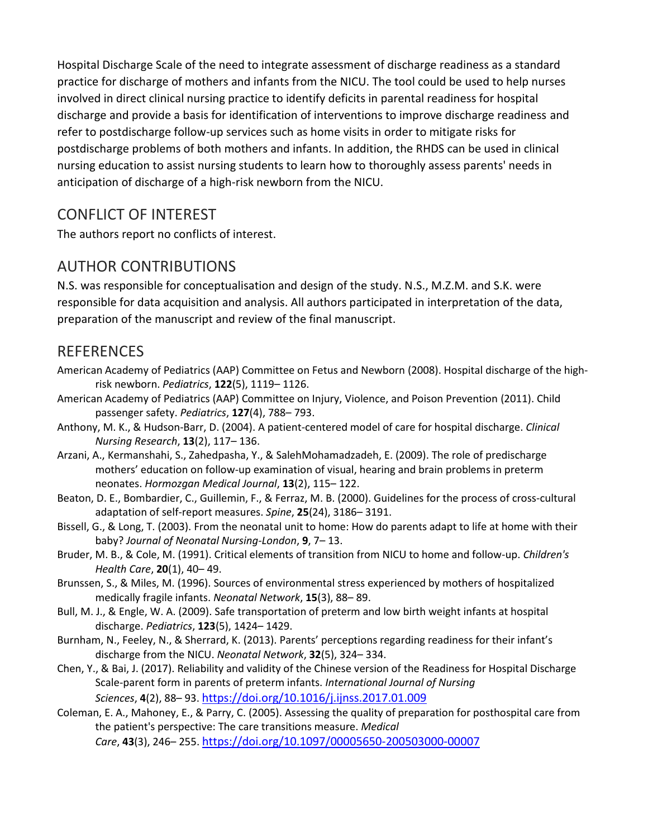Hospital Discharge Scale of the need to integrate assessment of discharge readiness as a standard practice for discharge of mothers and infants from the NICU. The tool could be used to help nurses involved in direct clinical nursing practice to identify deficits in parental readiness for hospital discharge and provide a basis for identification of interventions to improve discharge readiness and refer to postdischarge follow‐up services such as home visits in order to mitigate risks for postdischarge problems of both mothers and infants. In addition, the RHDS can be used in clinical nursing education to assist nursing students to learn how to thoroughly assess parents' needs in anticipation of discharge of a high‐risk newborn from the NICU.

## CONFLICT OF INTEREST

The authors report no conflicts of interest.

## AUTHOR CONTRIBUTIONS

N.S. was responsible for conceptualisation and design of the study. N.S., M.Z.M. and S.K. were responsible for data acquisition and analysis. All authors participated in interpretation of the data, preparation of the manuscript and review of the final manuscript.

#### REFERENCES

- American Academy of Pediatrics (AAP) Committee on Fetus and Newborn (2008). Hospital discharge of the high‐ risk newborn. *Pediatrics*, **122**(5), 1119– 1126.
- American Academy of Pediatrics (AAP) Committee on Injury, Violence, and Poison Prevention (2011). Child passenger safety. *Pediatrics*, **127**(4), 788– 793.
- Anthony, M. K., & Hudson‐Barr, D. (2004). A patient‐centered model of care for hospital discharge. *Clinical Nursing Research*, **13**(2), 117– 136.
- Arzani, A., Kermanshahi, S., Zahedpasha, Y., & SalehMohamadzadeh, E. (2009). The role of predischarge mothers' education on follow‐up examination of visual, hearing and brain problems in preterm neonates. *Hormozgan Medical Journal*, **13**(2), 115– 122.
- Beaton, D. E., Bombardier, C., Guillemin, F., & Ferraz, M. B. (2000). Guidelines for the process of cross‐cultural adaptation of self‐report measures. *Spine*, **25**(24), 3186– 3191.
- Bissell, G., & Long, T. (2003). From the neonatal unit to home: How do parents adapt to life at home with their baby? *Journal of Neonatal Nursing‐London*, **9**, 7– 13.
- Bruder, M. B., & Cole, M. (1991). Critical elements of transition from NICU to home and follow‐up. *Children's Health Care*, **20**(1), 40– 49.
- Brunssen, S., & Miles, M. (1996). Sources of environmental stress experienced by mothers of hospitalized medically fragile infants. *Neonatal Network*, **15**(3), 88– 89.
- Bull, M. J., & Engle, W. A. (2009). Safe transportation of preterm and low birth weight infants at hospital discharge. *Pediatrics*, **123**(5), 1424– 1429.
- Burnham, N., Feeley, N., & Sherrard, K. (2013). Parents' perceptions regarding readiness for their infant's discharge from the NICU. *Neonatal Network*, **32**(5), 324– 334.
- Chen, Y., & Bai, J. (2017). Reliability and validity of the Chinese version of the Readiness for Hospital Discharge Scale‐parent form in parents of preterm infants. *International Journal of Nursing Sciences*, **4**(2), 88– 93. <https://doi.org/10.1016/j.ijnss.2017.01.009>
- Coleman, E. A., Mahoney, E., & Parry, C. (2005). Assessing the quality of preparation for posthospital care from the patient's perspective: The care transitions measure. *Medical Care*, **43**(3), 246– 255. [https://doi.org/10.1097/000](https://doi.org/10.1097/00005650-200503000-00007)05650‐200503000‐00007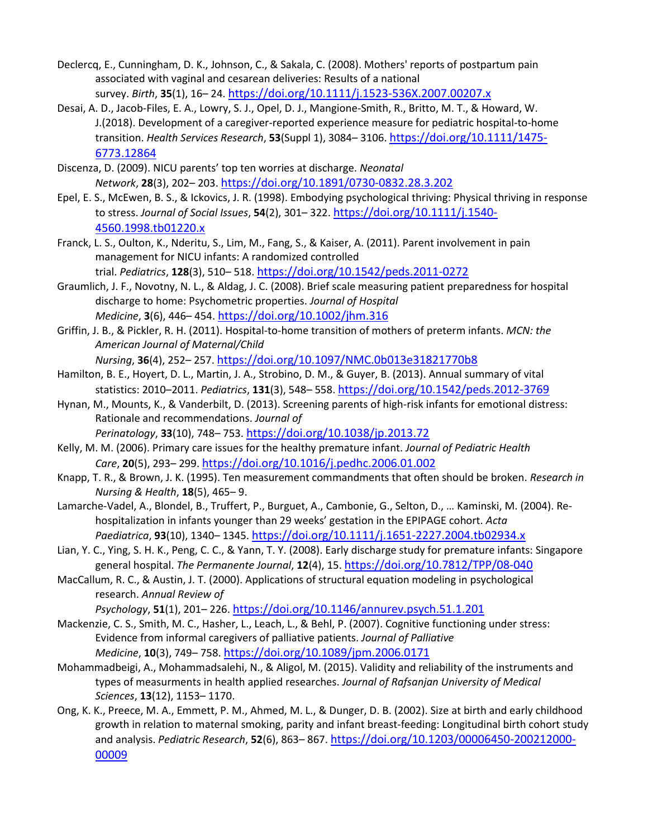- Declercq, E., Cunningham, D. K., Johnson, C., & Sakala, C. (2008). Mothers' reports of postpartum pain associated with vaginal and cesarean deliveries: Results of a national survey. *Birth*, **35**(1), 16– 24. [https://doi.org/10.1111/j.1523‐536X.2007.00207.x](https://doi.org/10.1111/j.1523-536X.2007.00207.x)
- Desai, A. D., Jacob‐Files, E. A., Lowry, S. J., Opel, D. J., Mangione‐Smith, R., Britto, M. T., & Howard, W. J.(2018). Development of a caregiver‐reported experience measure for pediatric hospital‐to‐home transition. *Health Services Research*, **53**(Suppl 1), 3084– 3106. [https://doi.org/10.1111/1475‐](https://doi.org/10.1111/1475-6773.12864) [6773.12864](https://doi.org/10.1111/1475-6773.12864)
- Discenza, D. (2009). NICU parents' top ten worries at discharge. *Neonatal Network*, **28**(3), 202– 203. https://doi.org/10[.1891/0730‐0832.28.3.202](https://doi.org/10.1891/0730-0832.28.3.202)
- Epel, E. S., McEwen, B. S., & Ickovics, J. R. (1998). Embodying psychological thriving: Physical thriving in response to stress. *Journal of Social Issues*, **54**(2), 301– 322. [https://doi.org/10.1111/j.1540‐](https://doi.org/10.1111/j.1540-4560.1998.tb01220.x) [4560.1998.tb01220.x](https://doi.org/10.1111/j.1540-4560.1998.tb01220.x)
- Franck, L. S., Oulton, K., Nderitu, S., Lim, M., Fang, S., & Kaiser, A. (2011). Parent involvement in pain management for NICU infants: A randomized controlled

trial. *Pediatrics*, **128**(3), 510– 518. https://doi.[org/10.1542/peds.2011‐0272](https://doi.org/10.1542/peds.2011-0272)

- Graumlich, J. F., Novotny, N. L., & Aldag, J. C. (2008). Brief scale measuring patient preparedness for hospital discharge to home: Psychometric properties. *Journal of Hospital Medicine*, **3**(6), 446– 454. <https://doi.org/10.1002/jhm.316>
- Griffin, J. B., & Pickler, R. H. (2011). Hospital‐to‐home transition of mothers of preterm infants. *MCN: the American Journal of Maternal/Child*

*Nursing*, **36**(4), 252– 257. <https://doi.org/10.1097/NMC.0b013e31821770b8>

- Hamilton, B. E., Hoyert, D. L., Martin, J. A., Strobino, D. M., & Guyer, B. (2013). Annual summary of vital statistics: 2010–2011. *Pediatrics*, **131**(3), 548– 558. [https://doi.org/10.1542/peds.2012‐3769](https://doi.org/10.1542/peds.2012-3769)
- Hynan, M., Mounts, K., & Vanderbilt, D. (2013). Screening parents of high‐risk infants for emotional distress: Rationale and recommendations. *Journal of*

*Perinatology*, **33**(10), 748– 753. <https://doi.org/10.1038/jp.2013.72>

- Kelly, M. M. (2006). Primary care issues for the healthy premature infant. *Journal of Pediatric Health Care*, **20**(5), 293– 299. <https://doi.org/10.1016/j.pedhc.2006.01.002>
- Knapp, T. R., & Brown, J. K. (1995). Ten measurement commandments that often should be broken. *Research in Nursing & Health*, **18**(5), 465– 9.
- Lamarche‐Vadel, A., Blondel, B., Truffert, P., Burguet, A., Cambonie, G., Selton, D., … Kaminski, M. (2004). Re‐ hospitalization in infants younger than 29 weeks' gestation in the EPIPAGE cohort. *Acta Paediatrica*, **93**(10), 1340– 1345. [https://doi.org/10.1111/j.1651‐2227.2004.tb02934.x](https://doi.org/10.1111/j.1651-2227.2004.tb02934.x)
- Lian, Y. C., Ying, S. H. K., Peng, C. C., & Yann, T. Y. (2008). Early discharge study for premature infants: Singapore general hospital. *The Permanente Journal*, **12**(4), 15. [https://doi.org/10.7812/TPP/08‐040](https://doi.org/10.7812/TPP/08-040)
- MacCallum, R. C., & Austin, J. T. (2000). Applications of structural equation modeling in psychological research. *Annual Review of*

*Psychology*, **51**(1), 201– 226. <https://doi.org/10.1146/annurev.psych.51.1.201>

- Mackenzie, C. S., Smith, M. C., Hasher, L., Leach, L., & Behl, P. (2007). Cognitive functioning under stress: Evidence from informal caregivers of palliative patients. *Journal of Palliative Medicine*, **10**(3), 749– 758. <https://doi.org/10.1089/jpm.2006.0171>
- Mohammadbeigi, A., Mohammadsalehi, N., & Aligol, M. (2015). Validity and reliability of the instruments and types of measurments in health applied researches. *Journal of Rafsanjan University of Medical Sciences*, **13**(12), 1153– 1170.
- Ong, K. K., Preece, M. A., Emmett, P. M., Ahmed, M. L., & Dunger, D. B. (2002). Size at birth and early childhood growth in relation to maternal smoking, parity and infant breast‐feeding: Longitudinal birth cohort study and analysis. *Pediatric Research*, **52**(6), 863– 867. [https://doi.org/10.1203/00006450‐200212000‐](https://doi.org/10.1203/00006450-200212000-00009) [00009](https://doi.org/10.1203/00006450-200212000-00009)